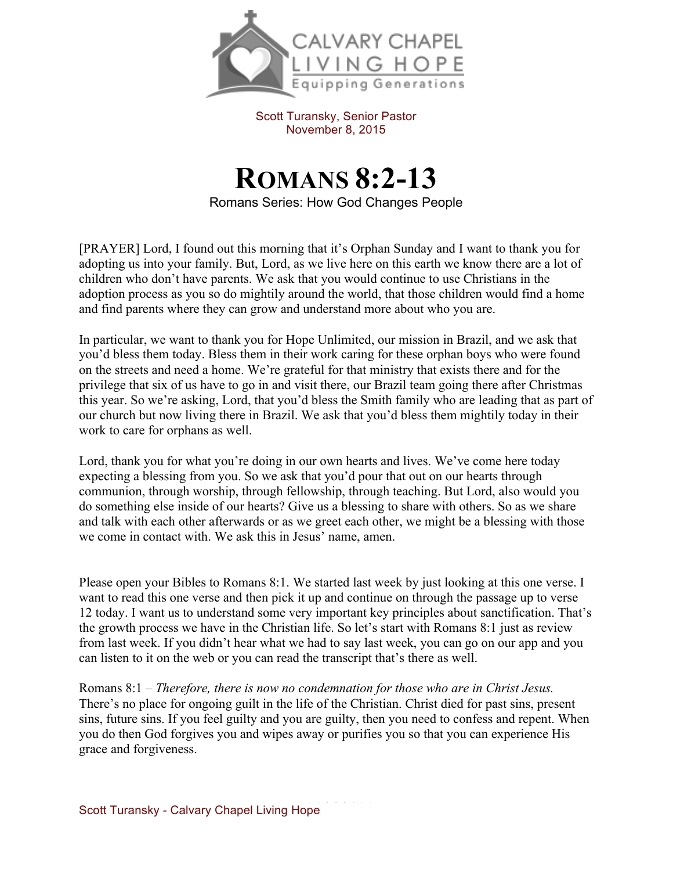

Scott Turansky, Senior Pastor November 8, 2015

## **ROMANS 8:2-13**

Romans Series: How God Changes People

[PRAYER] Lord, I found out this morning that it's Orphan Sunday and I want to thank you for adopting us into your family. But, Lord, as we live here on this earth we know there are a lot of children who don't have parents. We ask that you would continue to use Christians in the adoption process as you so do mightily around the world, that those children would find a home and find parents where they can grow and understand more about who you are.

In particular, we want to thank you for Hope Unlimited, our mission in Brazil, and we ask that you'd bless them today. Bless them in their work caring for these orphan boys who were found on the streets and need a home. We're grateful for that ministry that exists there and for the privilege that six of us have to go in and visit there, our Brazil team going there after Christmas this year. So we're asking, Lord, that you'd bless the Smith family who are leading that as part of our church but now living there in Brazil. We ask that you'd bless them mightily today in their work to care for orphans as well.

Lord, thank you for what you're doing in our own hearts and lives. We've come here today expecting a blessing from you. So we ask that you'd pour that out on our hearts through communion, through worship, through fellowship, through teaching. But Lord, also would you do something else inside of our hearts? Give us a blessing to share with others. So as we share and talk with each other afterwards or as we greet each other, we might be a blessing with those we come in contact with. We ask this in Jesus' name, amen.

Please open your Bibles to Romans 8:1. We started last week by just looking at this one verse. I want to read this one verse and then pick it up and continue on through the passage up to verse 12 today. I want us to understand some very important key principles about sanctification. That's the growth process we have in the Christian life. So let's start with Romans 8:1 just as review from last week. If you didn't hear what we had to say last week, you can go on our app and you can listen to it on the web or you can read the transcript that's there as well.

Romans 8:1 – *Therefore, there is now no condemnation for those who are in Christ Jesus.*  There's no place for ongoing guilt in the life of the Christian. Christ died for past sins, present sins, future sins. If you feel guilty and you are guilty, then you need to confess and repent. When you do then God forgives you and wipes away or purifies you so that you can experience His grace and forgiveness.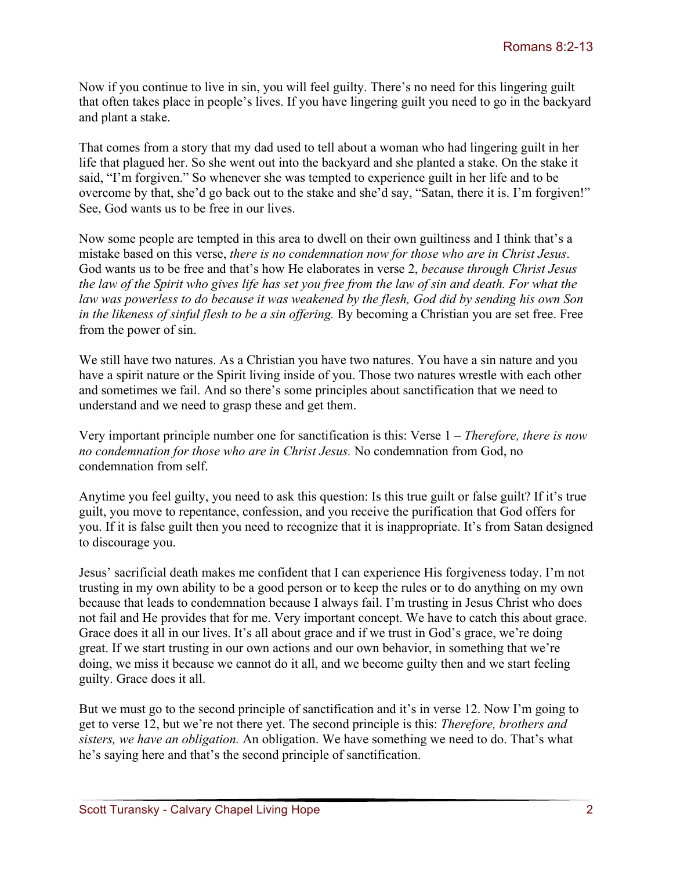Now if you continue to live in sin, you will feel guilty. There's no need for this lingering guilt that often takes place in people's lives. If you have lingering guilt you need to go in the backyard and plant a stake.

That comes from a story that my dad used to tell about a woman who had lingering guilt in her life that plagued her. So she went out into the backyard and she planted a stake. On the stake it said, "I'm forgiven." So whenever she was tempted to experience guilt in her life and to be overcome by that, she'd go back out to the stake and she'd say, "Satan, there it is. I'm forgiven!" See, God wants us to be free in our lives.

Now some people are tempted in this area to dwell on their own guiltiness and I think that's a mistake based on this verse, *there is no condemnation now for those who are in Christ Jesus*. God wants us to be free and that's how He elaborates in verse 2, *because through Christ Jesus the law of the Spirit who gives life has set you free from the law of sin and death. For what the law was powerless to do because it was weakened by the flesh, God did by sending his own Son in the likeness of sinful flesh to be a sin offering.* By becoming a Christian you are set free. Free from the power of sin.

We still have two natures. As a Christian you have two natures. You have a sin nature and you have a spirit nature or the Spirit living inside of you. Those two natures wrestle with each other and sometimes we fail. And so there's some principles about sanctification that we need to understand and we need to grasp these and get them.

Very important principle number one for sanctification is this: Verse 1 – *Therefore, there is now no condemnation for those who are in Christ Jesus.* No condemnation from God, no condemnation from self.

Anytime you feel guilty, you need to ask this question: Is this true guilt or false guilt? If it's true guilt, you move to repentance, confession, and you receive the purification that God offers for you. If it is false guilt then you need to recognize that it is inappropriate. It's from Satan designed to discourage you.

Jesus' sacrificial death makes me confident that I can experience His forgiveness today. I'm not trusting in my own ability to be a good person or to keep the rules or to do anything on my own because that leads to condemnation because I always fail. I'm trusting in Jesus Christ who does not fail and He provides that for me. Very important concept. We have to catch this about grace. Grace does it all in our lives. It's all about grace and if we trust in God's grace, we're doing great. If we start trusting in our own actions and our own behavior, in something that we're doing, we miss it because we cannot do it all, and we become guilty then and we start feeling guilty. Grace does it all.

But we must go to the second principle of sanctification and it's in verse 12. Now I'm going to get to verse 12, but we're not there yet. The second principle is this: *Therefore, brothers and sisters, we have an obligation.* An obligation. We have something we need to do. That's what he's saying here and that's the second principle of sanctification.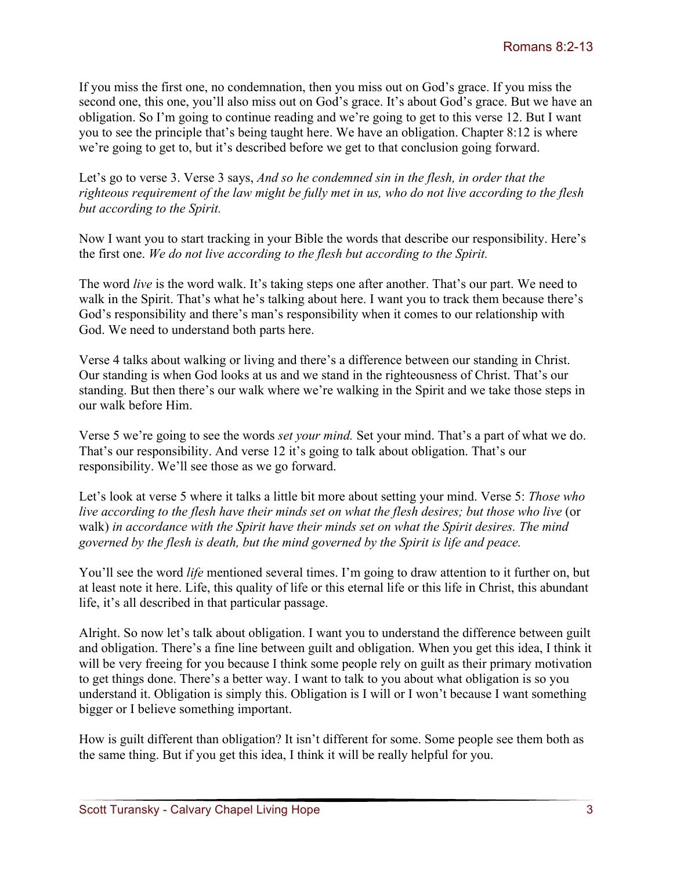If you miss the first one, no condemnation, then you miss out on God's grace. If you miss the second one, this one, you'll also miss out on God's grace. It's about God's grace. But we have an obligation. So I'm going to continue reading and we're going to get to this verse 12. But I want you to see the principle that's being taught here. We have an obligation. Chapter 8:12 is where we're going to get to, but it's described before we get to that conclusion going forward.

Let's go to verse 3. Verse 3 says, *And so he condemned sin in the flesh, in order that the righteous requirement of the law might be fully met in us, who do not live according to the flesh but according to the Spirit.*

Now I want you to start tracking in your Bible the words that describe our responsibility. Here's the first one. *We do not live according to the flesh but according to the Spirit.* 

The word *live* is the word walk. It's taking steps one after another. That's our part. We need to walk in the Spirit. That's what he's talking about here. I want you to track them because there's God's responsibility and there's man's responsibility when it comes to our relationship with God. We need to understand both parts here.

Verse 4 talks about walking or living and there's a difference between our standing in Christ. Our standing is when God looks at us and we stand in the righteousness of Christ. That's our standing. But then there's our walk where we're walking in the Spirit and we take those steps in our walk before Him.

Verse 5 we're going to see the words *set your mind.* Set your mind. That's a part of what we do. That's our responsibility. And verse 12 it's going to talk about obligation. That's our responsibility. We'll see those as we go forward.

Let's look at verse 5 where it talks a little bit more about setting your mind. Verse 5: *Those who live according to the flesh have their minds set on what the flesh desires; but those who live* (or walk) *in accordance with the Spirit have their minds set on what the Spirit desires. The mind governed by the flesh is death, but the mind governed by the Spirit is life and peace.* 

You'll see the word *life* mentioned several times. I'm going to draw attention to it further on, but at least note it here. Life, this quality of life or this eternal life or this life in Christ, this abundant life, it's all described in that particular passage.

Alright. So now let's talk about obligation. I want you to understand the difference between guilt and obligation. There's a fine line between guilt and obligation. When you get this idea, I think it will be very freeing for you because I think some people rely on guilt as their primary motivation to get things done. There's a better way. I want to talk to you about what obligation is so you understand it. Obligation is simply this. Obligation is I will or I won't because I want something bigger or I believe something important.

How is guilt different than obligation? It isn't different for some. Some people see them both as the same thing. But if you get this idea, I think it will be really helpful for you.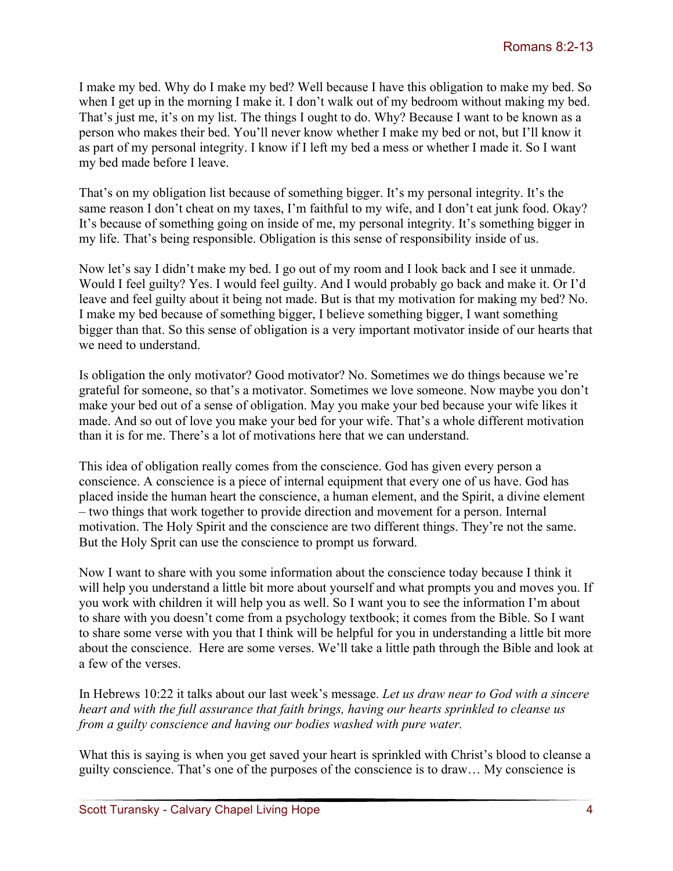I make my bed. Why do I make my bed? Well because I have this obligation to make my bed. So when I get up in the morning I make it. I don't walk out of my bedroom without making my bed. That's just me, it's on my list. The things I ought to do. Why? Because I want to be known as a person who makes their bed. You'll never know whether I make my bed or not, but I'll know it as part of my personal integrity. I know if I left my bed a mess or whether I made it. So I want my bed made before I leave.

That's on my obligation list because of something bigger. It's my personal integrity. It's the same reason I don't cheat on my taxes, I'm faithful to my wife, and I don't eat junk food. Okay? It's because of something going on inside of me, my personal integrity. It's something bigger in my life. That's being responsible. Obligation is this sense of responsibility inside of us.

Now let's say I didn't make my bed. I go out of my room and I look back and I see it unmade. Would I feel guilty? Yes. I would feel guilty. And I would probably go back and make it. Or I'd leave and feel guilty about it being not made. But is that my motivation for making my bed? No. I make my bed because of something bigger, I believe something bigger, I want something bigger than that. So this sense of obligation is a very important motivator inside of our hearts that we need to understand.

Is obligation the only motivator? Good motivator? No. Sometimes we do things because we're grateful for someone, so that's a motivator. Sometimes we love someone. Now maybe you don't make your bed out of a sense of obligation. May you make your bed because your wife likes it made. And so out of love you make your bed for your wife. That's a whole different motivation than it is for me. There's a lot of motivations here that we can understand.

This idea of obligation really comes from the conscience. God has given every person a conscience. A conscience is a piece of internal equipment that every one of us have. God has placed inside the human heart the conscience, a human element, and the Spirit, a divine element – two things that work together to provide direction and movement for a person. Internal motivation. The Holy Spirit and the conscience are two different things. They're not the same. But the Holy Sprit can use the conscience to prompt us forward.

Now I want to share with you some information about the conscience today because I think it will help you understand a little bit more about yourself and what prompts you and moves you. If you work with children it will help you as well. So I want you to see the information I'm about to share with you doesn't come from a psychology textbook; it comes from the Bible. So I want to share some verse with you that I think will be helpful for you in understanding a little bit more about the conscience. Here are some verses. We'll take a little path through the Bible and look at a few of the verses.

In Hebrews 10:22 it talks about our last week's message. *Let us draw near to God with a sincere heart and with the full assurance that faith brings, having our hearts sprinkled to cleanse us from a guilty conscience and having our bodies washed with pure water.* 

What this is saying is when you get saved your heart is sprinkled with Christ's blood to cleanse a guilty conscience. That's one of the purposes of the conscience is to draw… My conscience is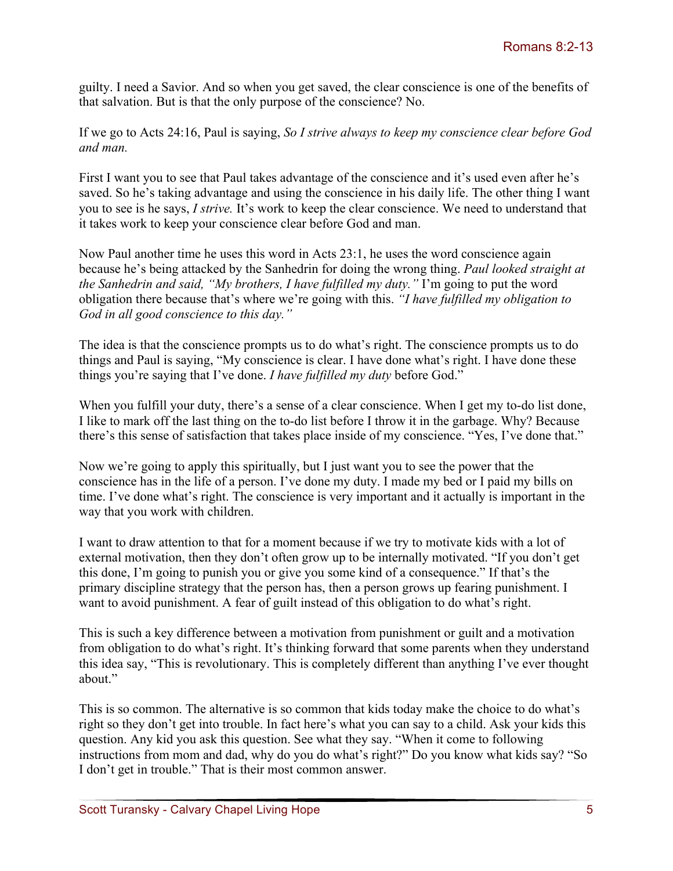guilty. I need a Savior. And so when you get saved, the clear conscience is one of the benefits of that salvation. But is that the only purpose of the conscience? No.

If we go to Acts 24:16, Paul is saying, *So I strive always to keep my conscience clear before God and man.* 

First I want you to see that Paul takes advantage of the conscience and it's used even after he's saved. So he's taking advantage and using the conscience in his daily life. The other thing I want you to see is he says, *I strive.* It's work to keep the clear conscience. We need to understand that it takes work to keep your conscience clear before God and man.

Now Paul another time he uses this word in Acts 23:1, he uses the word conscience again because he's being attacked by the Sanhedrin for doing the wrong thing. *Paul looked straight at the Sanhedrin and said, "My brothers, I have fulfilled my duty."* I'm going to put the word obligation there because that's where we're going with this. *"I have fulfilled my obligation to God in all good conscience to this day."* 

The idea is that the conscience prompts us to do what's right. The conscience prompts us to do things and Paul is saying, "My conscience is clear. I have done what's right. I have done these things you're saying that I've done. *I have fulfilled my duty* before God."

When you fulfill your duty, there's a sense of a clear conscience. When I get my to-do list done, I like to mark off the last thing on the to-do list before I throw it in the garbage. Why? Because there's this sense of satisfaction that takes place inside of my conscience. "Yes, I've done that."

Now we're going to apply this spiritually, but I just want you to see the power that the conscience has in the life of a person. I've done my duty. I made my bed or I paid my bills on time. I've done what's right. The conscience is very important and it actually is important in the way that you work with children.

I want to draw attention to that for a moment because if we try to motivate kids with a lot of external motivation, then they don't often grow up to be internally motivated. "If you don't get this done, I'm going to punish you or give you some kind of a consequence." If that's the primary discipline strategy that the person has, then a person grows up fearing punishment. I want to avoid punishment. A fear of guilt instead of this obligation to do what's right.

This is such a key difference between a motivation from punishment or guilt and a motivation from obligation to do what's right. It's thinking forward that some parents when they understand this idea say, "This is revolutionary. This is completely different than anything I've ever thought about."

This is so common. The alternative is so common that kids today make the choice to do what's right so they don't get into trouble. In fact here's what you can say to a child. Ask your kids this question. Any kid you ask this question. See what they say. "When it come to following instructions from mom and dad, why do you do what's right?" Do you know what kids say? "So I don't get in trouble." That is their most common answer.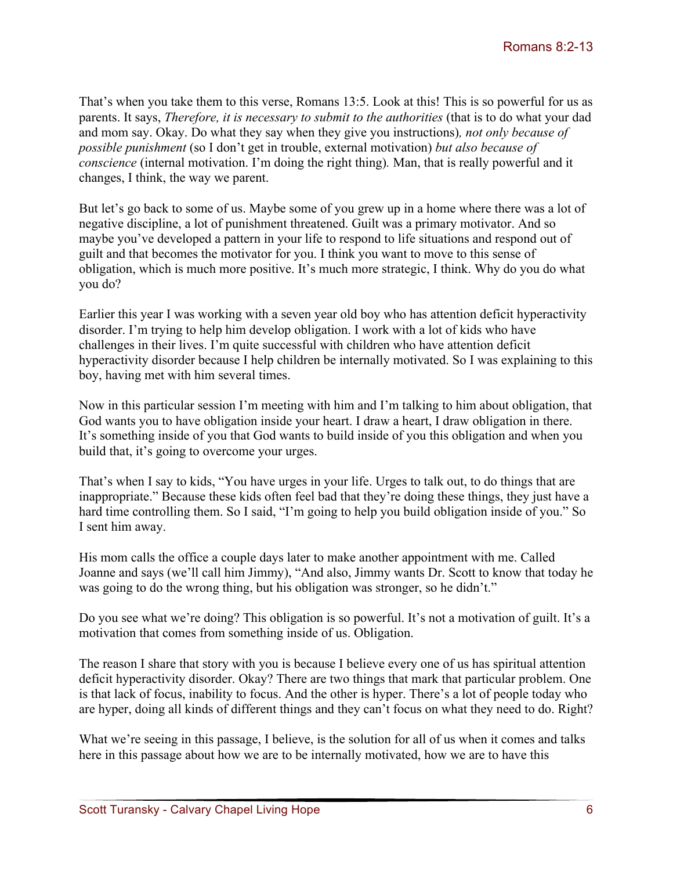That's when you take them to this verse, Romans 13:5. Look at this! This is so powerful for us as parents. It says, *Therefore, it is necessary to submit to the authorities* (that is to do what your dad and mom say. Okay. Do what they say when they give you instructions)*, not only because of possible punishment* (so I don't get in trouble, external motivation) *but also because of conscience* (internal motivation. I'm doing the right thing)*.* Man, that is really powerful and it changes, I think, the way we parent.

But let's go back to some of us. Maybe some of you grew up in a home where there was a lot of negative discipline, a lot of punishment threatened. Guilt was a primary motivator. And so maybe you've developed a pattern in your life to respond to life situations and respond out of guilt and that becomes the motivator for you. I think you want to move to this sense of obligation, which is much more positive. It's much more strategic, I think. Why do you do what you do?

Earlier this year I was working with a seven year old boy who has attention deficit hyperactivity disorder. I'm trying to help him develop obligation. I work with a lot of kids who have challenges in their lives. I'm quite successful with children who have attention deficit hyperactivity disorder because I help children be internally motivated. So I was explaining to this boy, having met with him several times.

Now in this particular session I'm meeting with him and I'm talking to him about obligation, that God wants you to have obligation inside your heart. I draw a heart, I draw obligation in there. It's something inside of you that God wants to build inside of you this obligation and when you build that, it's going to overcome your urges.

That's when I say to kids, "You have urges in your life. Urges to talk out, to do things that are inappropriate." Because these kids often feel bad that they're doing these things, they just have a hard time controlling them. So I said, "I'm going to help you build obligation inside of you." So I sent him away.

His mom calls the office a couple days later to make another appointment with me. Called Joanne and says (we'll call him Jimmy), "And also, Jimmy wants Dr. Scott to know that today he was going to do the wrong thing, but his obligation was stronger, so he didn't."

Do you see what we're doing? This obligation is so powerful. It's not a motivation of guilt. It's a motivation that comes from something inside of us. Obligation.

The reason I share that story with you is because I believe every one of us has spiritual attention deficit hyperactivity disorder. Okay? There are two things that mark that particular problem. One is that lack of focus, inability to focus. And the other is hyper. There's a lot of people today who are hyper, doing all kinds of different things and they can't focus on what they need to do. Right?

What we're seeing in this passage, I believe, is the solution for all of us when it comes and talks here in this passage about how we are to be internally motivated, how we are to have this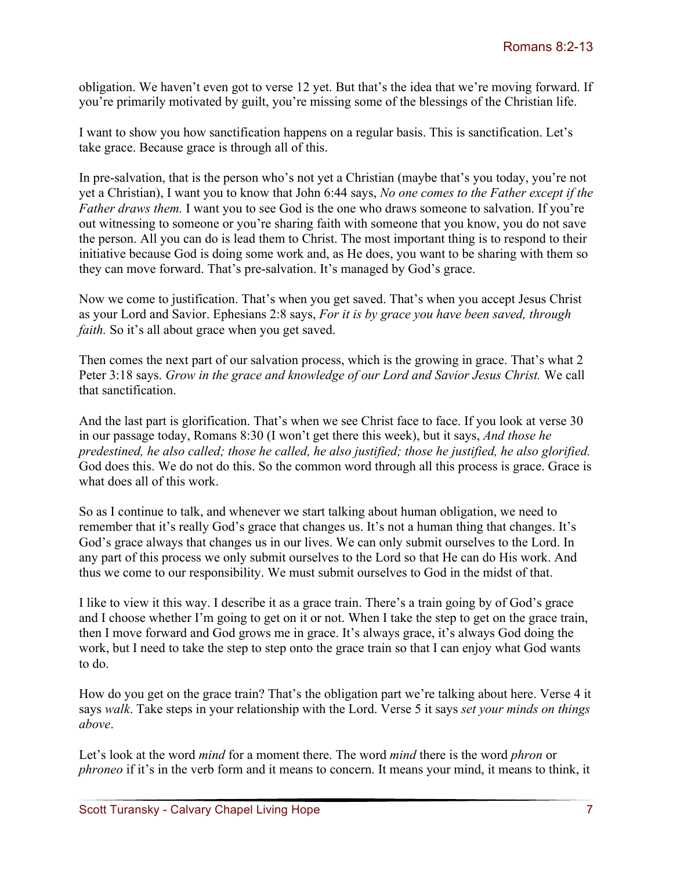obligation. We haven't even got to verse 12 yet. But that's the idea that we're moving forward. If you're primarily motivated by guilt, you're missing some of the blessings of the Christian life.

I want to show you how sanctification happens on a regular basis. This is sanctification. Let's take grace. Because grace is through all of this.

In pre-salvation, that is the person who's not yet a Christian (maybe that's you today, you're not yet a Christian), I want you to know that John 6:44 says, *No one comes to the Father except if the Father draws them.* I want you to see God is the one who draws someone to salvation. If you're out witnessing to someone or you're sharing faith with someone that you know, you do not save the person. All you can do is lead them to Christ. The most important thing is to respond to their initiative because God is doing some work and, as He does, you want to be sharing with them so they can move forward. That's pre-salvation. It's managed by God's grace.

Now we come to justification. That's when you get saved. That's when you accept Jesus Christ as your Lord and Savior. Ephesians 2:8 says, *For it is by grace you have been saved, through faith*. So it's all about grace when you get saved.

Then comes the next part of our salvation process, which is the growing in grace. That's what 2 Peter 3:18 says. *Grow in the grace and knowledge of our Lord and Savior Jesus Christ.* We call that sanctification.

And the last part is glorification. That's when we see Christ face to face. If you look at verse 30 in our passage today, Romans 8:30 (I won't get there this week), but it says, *And those he predestined, he also called; those he called, he also justified; those he justified, he also glorified.*  God does this. We do not do this. So the common word through all this process is grace. Grace is what does all of this work.

So as I continue to talk, and whenever we start talking about human obligation, we need to remember that it's really God's grace that changes us. It's not a human thing that changes. It's God's grace always that changes us in our lives. We can only submit ourselves to the Lord. In any part of this process we only submit ourselves to the Lord so that He can do His work. And thus we come to our responsibility. We must submit ourselves to God in the midst of that.

I like to view it this way. I describe it as a grace train. There's a train going by of God's grace and I choose whether I'm going to get on it or not. When I take the step to get on the grace train, then I move forward and God grows me in grace. It's always grace, it's always God doing the work, but I need to take the step to step onto the grace train so that I can enjoy what God wants to do.

How do you get on the grace train? That's the obligation part we're talking about here. Verse 4 it says *walk*. Take steps in your relationship with the Lord. Verse 5 it says *set your minds on things above*.

Let's look at the word *mind* for a moment there. The word *mind* there is the word *phron* or *phroneo* if it's in the verb form and it means to concern. It means your mind, it means to think, it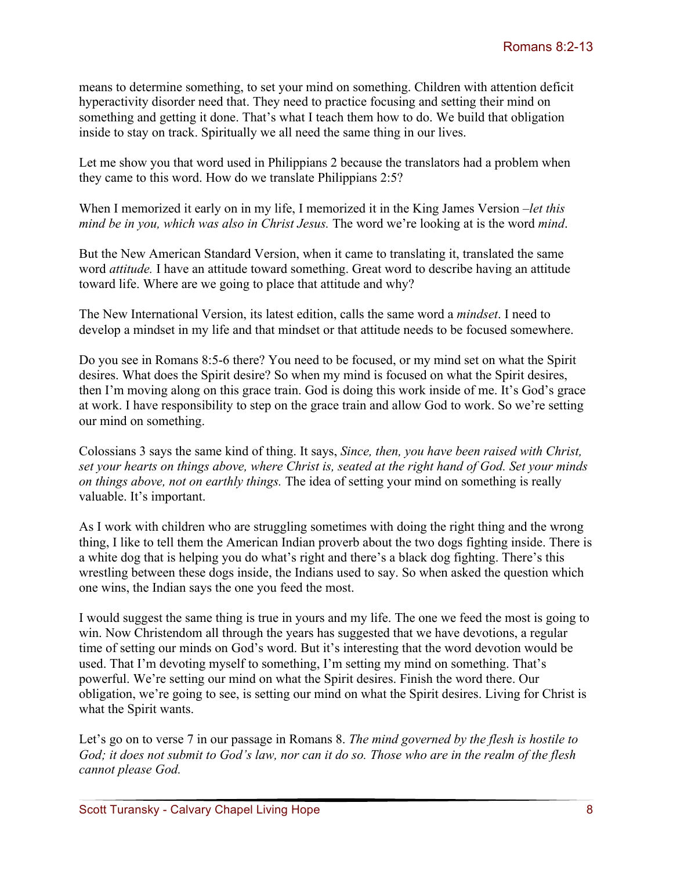means to determine something, to set your mind on something. Children with attention deficit hyperactivity disorder need that. They need to practice focusing and setting their mind on something and getting it done. That's what I teach them how to do. We build that obligation inside to stay on track. Spiritually we all need the same thing in our lives.

Let me show you that word used in Philippians 2 because the translators had a problem when they came to this word. How do we translate Philippians 2:5?

When I memorized it early on in my life, I memorized it in the King James Version –*let this mind be in you, which was also in Christ Jesus.* The word we're looking at is the word *mind*.

But the New American Standard Version, when it came to translating it, translated the same word *attitude.* I have an attitude toward something. Great word to describe having an attitude toward life. Where are we going to place that attitude and why?

The New International Version, its latest edition, calls the same word a *mindset*. I need to develop a mindset in my life and that mindset or that attitude needs to be focused somewhere.

Do you see in Romans 8:5-6 there? You need to be focused, or my mind set on what the Spirit desires. What does the Spirit desire? So when my mind is focused on what the Spirit desires, then I'm moving along on this grace train. God is doing this work inside of me. It's God's grace at work. I have responsibility to step on the grace train and allow God to work. So we're setting our mind on something.

Colossians 3 says the same kind of thing. It says, *Since, then, you have been raised with Christ, set your hearts on things above, where Christ is, seated at the right hand of God. Set your minds on things above, not on earthly things.* The idea of setting your mind on something is really valuable. It's important.

As I work with children who are struggling sometimes with doing the right thing and the wrong thing, I like to tell them the American Indian proverb about the two dogs fighting inside. There is a white dog that is helping you do what's right and there's a black dog fighting. There's this wrestling between these dogs inside, the Indians used to say. So when asked the question which one wins, the Indian says the one you feed the most.

I would suggest the same thing is true in yours and my life. The one we feed the most is going to win. Now Christendom all through the years has suggested that we have devotions, a regular time of setting our minds on God's word. But it's interesting that the word devotion would be used. That I'm devoting myself to something, I'm setting my mind on something. That's powerful. We're setting our mind on what the Spirit desires. Finish the word there. Our obligation, we're going to see, is setting our mind on what the Spirit desires. Living for Christ is what the Spirit wants.

Let's go on to verse 7 in our passage in Romans 8. *The mind governed by the flesh is hostile to God; it does not submit to God's law, nor can it do so. Those who are in the realm of the flesh cannot please God.*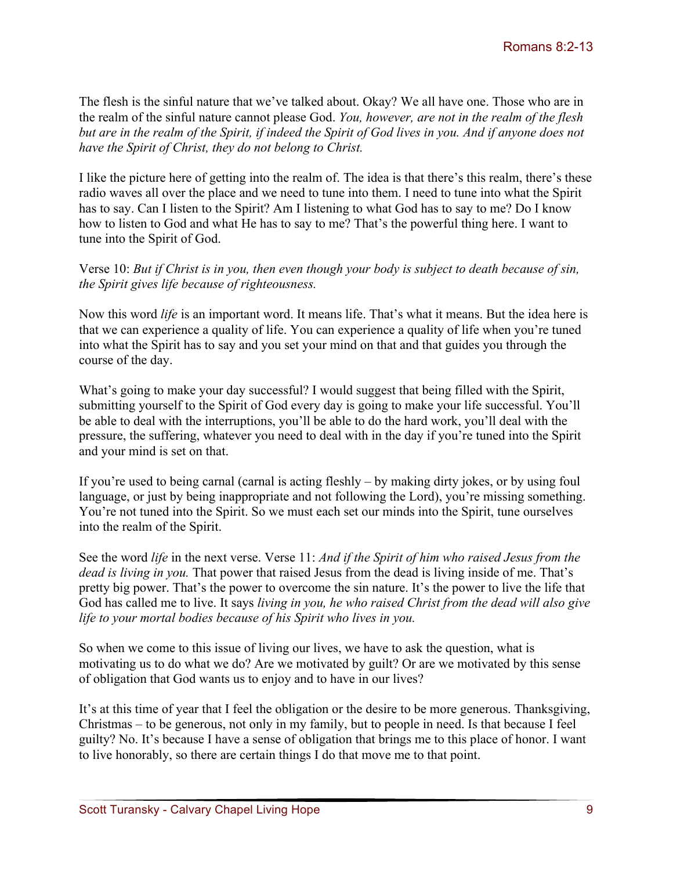The flesh is the sinful nature that we've talked about. Okay? We all have one. Those who are in the realm of the sinful nature cannot please God. *You, however, are not in the realm of the flesh but are in the realm of the Spirit, if indeed the Spirit of God lives in you. And if anyone does not have the Spirit of Christ, they do not belong to Christ.* 

I like the picture here of getting into the realm of. The idea is that there's this realm, there's these radio waves all over the place and we need to tune into them. I need to tune into what the Spirit has to say. Can I listen to the Spirit? Am I listening to what God has to say to me? Do I know how to listen to God and what He has to say to me? That's the powerful thing here. I want to tune into the Spirit of God.

Verse 10: *But if Christ is in you, then even though your body is subject to death because of sin, the Spirit gives life because of righteousness.* 

Now this word *life* is an important word. It means life. That's what it means. But the idea here is that we can experience a quality of life. You can experience a quality of life when you're tuned into what the Spirit has to say and you set your mind on that and that guides you through the course of the day.

What's going to make your day successful? I would suggest that being filled with the Spirit, submitting yourself to the Spirit of God every day is going to make your life successful. You'll be able to deal with the interruptions, you'll be able to do the hard work, you'll deal with the pressure, the suffering, whatever you need to deal with in the day if you're tuned into the Spirit and your mind is set on that.

If you're used to being carnal (carnal is acting fleshly – by making dirty jokes, or by using foul language, or just by being inappropriate and not following the Lord), you're missing something. You're not tuned into the Spirit. So we must each set our minds into the Spirit, tune ourselves into the realm of the Spirit.

See the word *life* in the next verse. Verse 11: *And if the Spirit of him who raised Jesus from the dead is living in you.* That power that raised Jesus from the dead is living inside of me. That's pretty big power. That's the power to overcome the sin nature. It's the power to live the life that God has called me to live. It says *living in you, he who raised Christ from the dead will also give life to your mortal bodies because of his Spirit who lives in you.*

So when we come to this issue of living our lives, we have to ask the question, what is motivating us to do what we do? Are we motivated by guilt? Or are we motivated by this sense of obligation that God wants us to enjoy and to have in our lives?

It's at this time of year that I feel the obligation or the desire to be more generous. Thanksgiving, Christmas – to be generous, not only in my family, but to people in need. Is that because I feel guilty? No. It's because I have a sense of obligation that brings me to this place of honor. I want to live honorably, so there are certain things I do that move me to that point.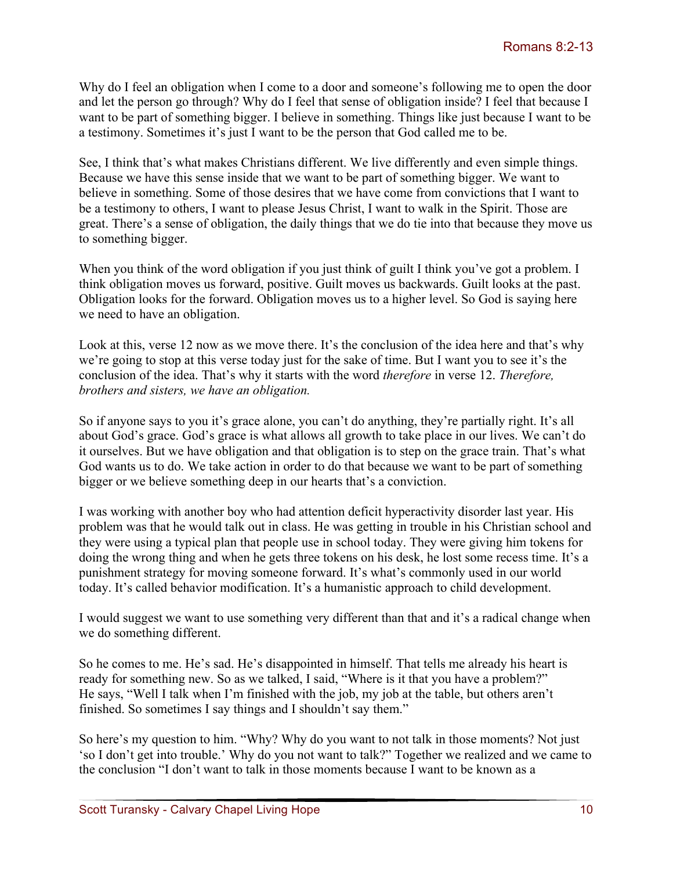Why do I feel an obligation when I come to a door and someone's following me to open the door and let the person go through? Why do I feel that sense of obligation inside? I feel that because I want to be part of something bigger. I believe in something. Things like just because I want to be a testimony. Sometimes it's just I want to be the person that God called me to be.

See, I think that's what makes Christians different. We live differently and even simple things. Because we have this sense inside that we want to be part of something bigger. We want to believe in something. Some of those desires that we have come from convictions that I want to be a testimony to others, I want to please Jesus Christ, I want to walk in the Spirit. Those are great. There's a sense of obligation, the daily things that we do tie into that because they move us to something bigger.

When you think of the word obligation if you just think of guilt I think you've got a problem. I think obligation moves us forward, positive. Guilt moves us backwards. Guilt looks at the past. Obligation looks for the forward. Obligation moves us to a higher level. So God is saying here we need to have an obligation.

Look at this, verse 12 now as we move there. It's the conclusion of the idea here and that's why we're going to stop at this verse today just for the sake of time. But I want you to see it's the conclusion of the idea. That's why it starts with the word *therefore* in verse 12. *Therefore, brothers and sisters, we have an obligation.* 

So if anyone says to you it's grace alone, you can't do anything, they're partially right. It's all about God's grace. God's grace is what allows all growth to take place in our lives. We can't do it ourselves. But we have obligation and that obligation is to step on the grace train. That's what God wants us to do. We take action in order to do that because we want to be part of something bigger or we believe something deep in our hearts that's a conviction.

I was working with another boy who had attention deficit hyperactivity disorder last year. His problem was that he would talk out in class. He was getting in trouble in his Christian school and they were using a typical plan that people use in school today. They were giving him tokens for doing the wrong thing and when he gets three tokens on his desk, he lost some recess time. It's a punishment strategy for moving someone forward. It's what's commonly used in our world today. It's called behavior modification. It's a humanistic approach to child development.

I would suggest we want to use something very different than that and it's a radical change when we do something different.

So he comes to me. He's sad. He's disappointed in himself. That tells me already his heart is ready for something new. So as we talked, I said, "Where is it that you have a problem?" He says, "Well I talk when I'm finished with the job, my job at the table, but others aren't finished. So sometimes I say things and I shouldn't say them."

So here's my question to him. "Why? Why do you want to not talk in those moments? Not just 'so I don't get into trouble.' Why do you not want to talk?" Together we realized and we came to the conclusion "I don't want to talk in those moments because I want to be known as a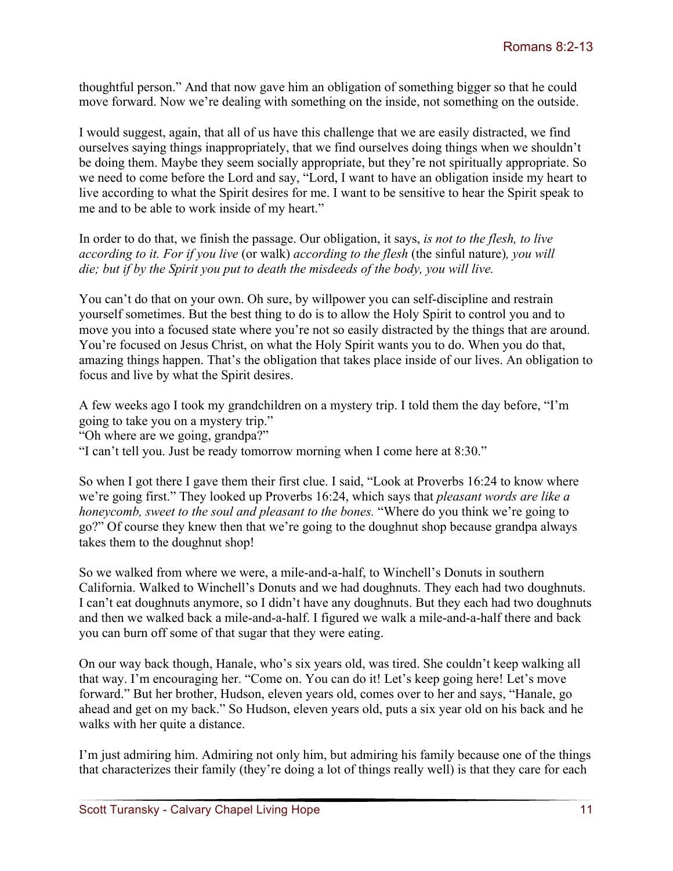thoughtful person." And that now gave him an obligation of something bigger so that he could move forward. Now we're dealing with something on the inside, not something on the outside.

I would suggest, again, that all of us have this challenge that we are easily distracted, we find ourselves saying things inappropriately, that we find ourselves doing things when we shouldn't be doing them. Maybe they seem socially appropriate, but they're not spiritually appropriate. So we need to come before the Lord and say, "Lord, I want to have an obligation inside my heart to live according to what the Spirit desires for me. I want to be sensitive to hear the Spirit speak to me and to be able to work inside of my heart."

In order to do that, we finish the passage. Our obligation, it says, *is not to the flesh, to live according to it. For if you live* (or walk) *according to the flesh* (the sinful nature)*, you will die; but if by the Spirit you put to death the misdeeds of the body, you will live.*

You can't do that on your own. Oh sure, by willpower you can self-discipline and restrain yourself sometimes. But the best thing to do is to allow the Holy Spirit to control you and to move you into a focused state where you're not so easily distracted by the things that are around. You're focused on Jesus Christ, on what the Holy Spirit wants you to do. When you do that, amazing things happen. That's the obligation that takes place inside of our lives. An obligation to focus and live by what the Spirit desires.

A few weeks ago I took my grandchildren on a mystery trip. I told them the day before, "I'm going to take you on a mystery trip."

"Oh where are we going, grandpa?"

"I can't tell you. Just be ready tomorrow morning when I come here at 8:30."

So when I got there I gave them their first clue. I said, "Look at Proverbs 16:24 to know where we're going first." They looked up Proverbs 16:24, which says that *pleasant words are like a honeycomb, sweet to the soul and pleasant to the bones.* "Where do you think we're going to go?" Of course they knew then that we're going to the doughnut shop because grandpa always takes them to the doughnut shop!

So we walked from where we were, a mile-and-a-half, to Winchell's Donuts in southern California. Walked to Winchell's Donuts and we had doughnuts. They each had two doughnuts. I can't eat doughnuts anymore, so I didn't have any doughnuts. But they each had two doughnuts and then we walked back a mile-and-a-half. I figured we walk a mile-and-a-half there and back you can burn off some of that sugar that they were eating.

On our way back though, Hanale, who's six years old, was tired. She couldn't keep walking all that way. I'm encouraging her. "Come on. You can do it! Let's keep going here! Let's move forward." But her brother, Hudson, eleven years old, comes over to her and says, "Hanale, go ahead and get on my back." So Hudson, eleven years old, puts a six year old on his back and he walks with her quite a distance.

I'm just admiring him. Admiring not only him, but admiring his family because one of the things that characterizes their family (they're doing a lot of things really well) is that they care for each